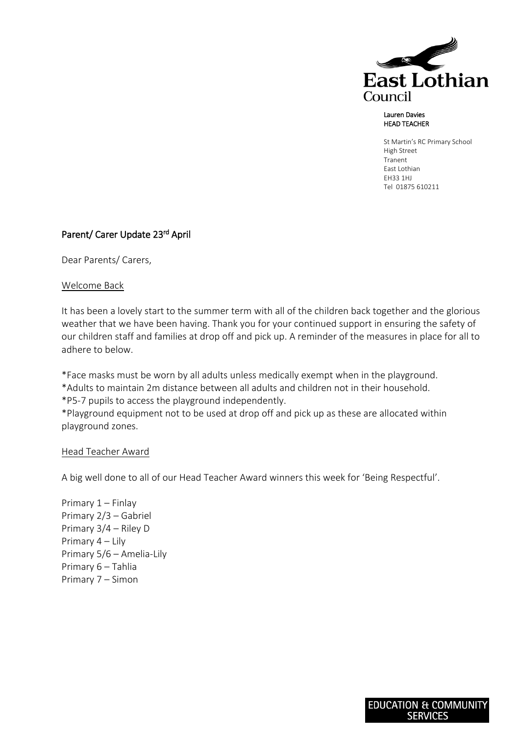

## Lauren Davies HEAD TEACHER

St Martin's RC Primary School High Street Tranent East Lothian EH33 1HJ Tel 01875 610211

## Parent/ Carer Update 23<sup>rd</sup> April

Dear Parents/ Carers,

## Welcome Back

It has been a lovely start to the summer term with all of the children back together and the glorious weather that we have been having. Thank you for your continued support in ensuring the safety of our children staff and families at drop off and pick up. A reminder of the measures in place for all to adhere to below.

\*Face masks must be worn by all adults unless medically exempt when in the playground. \*Adults to maintain 2m distance between all adults and children not in their household. \*P5-7 pupils to access the playground independently.

\*Playground equipment not to be used at drop off and pick up as these are allocated within playground zones.

## Head Teacher Award

A big well done to all of our Head Teacher Award winners this week for 'Being Respectful'.

Primary 1 – Finlay Primary 2/3 – Gabriel Primary 3/4 – Riley D Primary 4 – Lily Primary 5/6 – Amelia-Lily Primary 6 – Tahlia Primary 7 – Simon